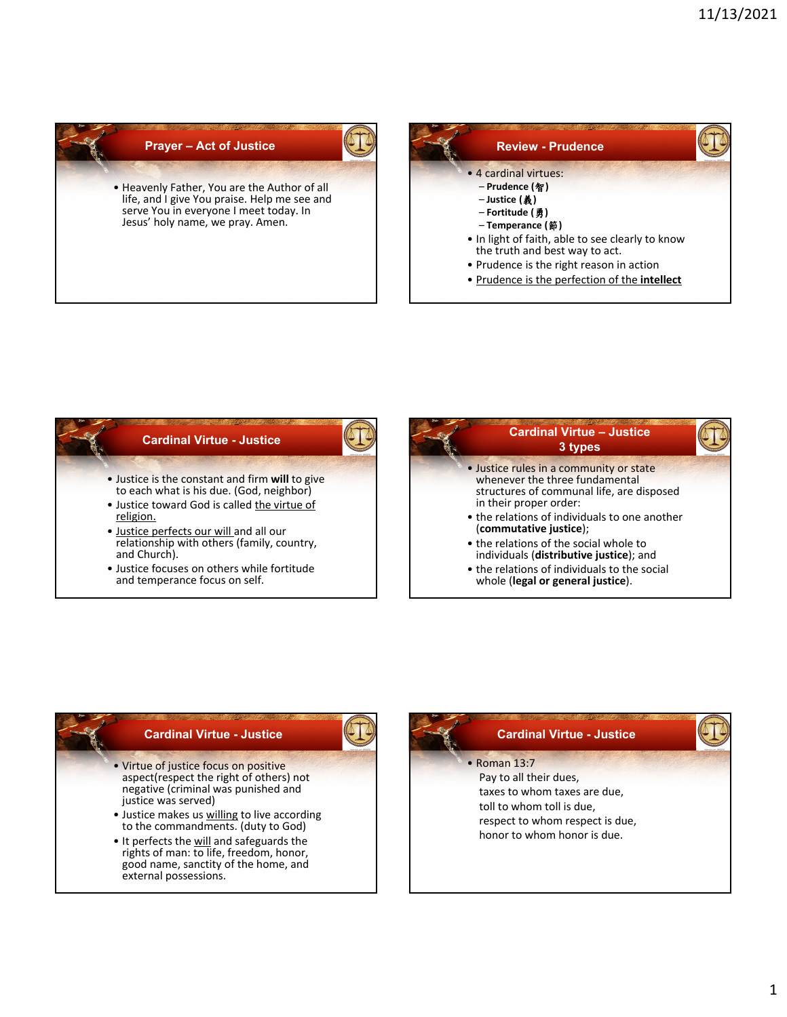